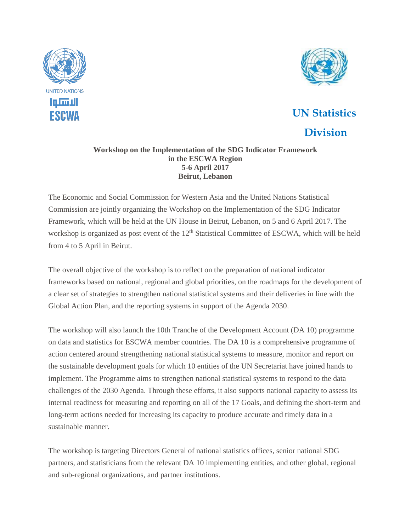



## **UN Statistics Division**

## **Workshop on the Implementation of the SDG Indicator Framework in the ESCWA Region 5-6 April 2017 Beirut, Lebanon**

The Economic and Social Commission for Western Asia and the United Nations Statistical Commission are jointly organizing the Workshop on the Implementation of the SDG Indicator Framework, which will be held at the UN House in Beirut, Lebanon, on 5 and 6 April 2017. The workshop is organized as post event of the 12<sup>th</sup> Statistical Committee of ESCWA, which will be held from 4 to 5 April in Beirut.

The overall objective of the workshop is to reflect on the preparation of national indicator frameworks based on national, regional and global priorities, on the roadmaps for the development of a clear set of strategies to strengthen national statistical systems and their deliveries in line with the Global Action Plan, and the reporting systems in support of the Agenda 2030.

The workshop will also launch the 10th Tranche of the Development Account (DA 10) programme on data and statistics for ESCWA member countries. The DA 10 is a comprehensive programme of action centered around strengthening national statistical systems to measure, monitor and report on the sustainable development goals for which 10 entities of the UN Secretariat have joined hands to implement. The Programme aims to strengthen national statistical systems to respond to the data challenges of the 2030 Agenda. Through these efforts, it also supports national capacity to assess its internal readiness for measuring and reporting on all of the 17 Goals, and defining the short-term and long-term actions needed for increasing its capacity to produce accurate and timely data in a sustainable manner.

The workshop is targeting Directors General of national statistics offices, senior national SDG partners, and statisticians from the relevant DA 10 implementing entities, and other global, regional and sub-regional organizations, and partner institutions.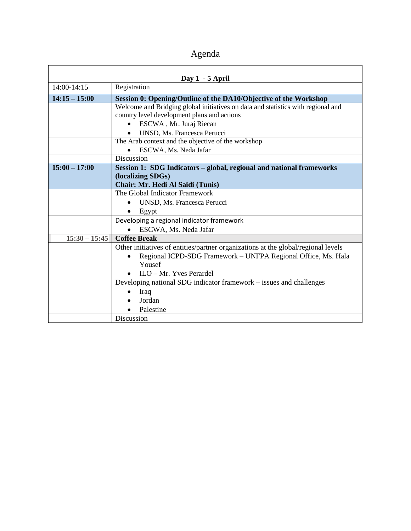Agenda

| Day 1 - 5 April |                                                                                   |
|-----------------|-----------------------------------------------------------------------------------|
| 14:00-14:15     | Registration                                                                      |
| $14:15 - 15:00$ | Session 0: Opening/Outline of the DA10/Objective of the Workshop                  |
|                 | Welcome and Bridging global initiatives on data and statistics with regional and  |
|                 | country level development plans and actions                                       |
|                 | ESCWA, Mr. Juraj Riecan                                                           |
|                 | UNSD, Ms. Francesca Perucci                                                       |
|                 | The Arab context and the objective of the workshop                                |
|                 | ESCWA, Ms. Neda Jafar                                                             |
|                 | Discussion                                                                        |
| $15:00 - 17:00$ | Session 1: SDG Indicators - global, regional and national frameworks              |
|                 | (localizing SDGs)                                                                 |
|                 | <b>Chair: Mr. Hedi Al Saidi (Tunis)</b>                                           |
|                 | The Global Indicator Framework                                                    |
|                 | UNSD, Ms. Francesca Perucci                                                       |
|                 | Egypt<br>$\bullet$                                                                |
|                 | Developing a regional indicator framework                                         |
|                 | ESCWA, Ms. Neda Jafar                                                             |
| $15:30 - 15:45$ | <b>Coffee Break</b>                                                               |
|                 | Other initiatives of entities/partner organizations at the global/regional levels |
|                 | Regional ICPD-SDG Framework - UNFPA Regional Office, Ms. Hala                     |
|                 | Yousef                                                                            |
|                 | $\bullet$ ILO – Mr. Yves Perardel                                                 |
|                 | Developing national SDG indicator framework – issues and challenges               |
|                 | Iraq                                                                              |
|                 | Jordan                                                                            |
|                 | Palestine                                                                         |
|                 | Discussion                                                                        |